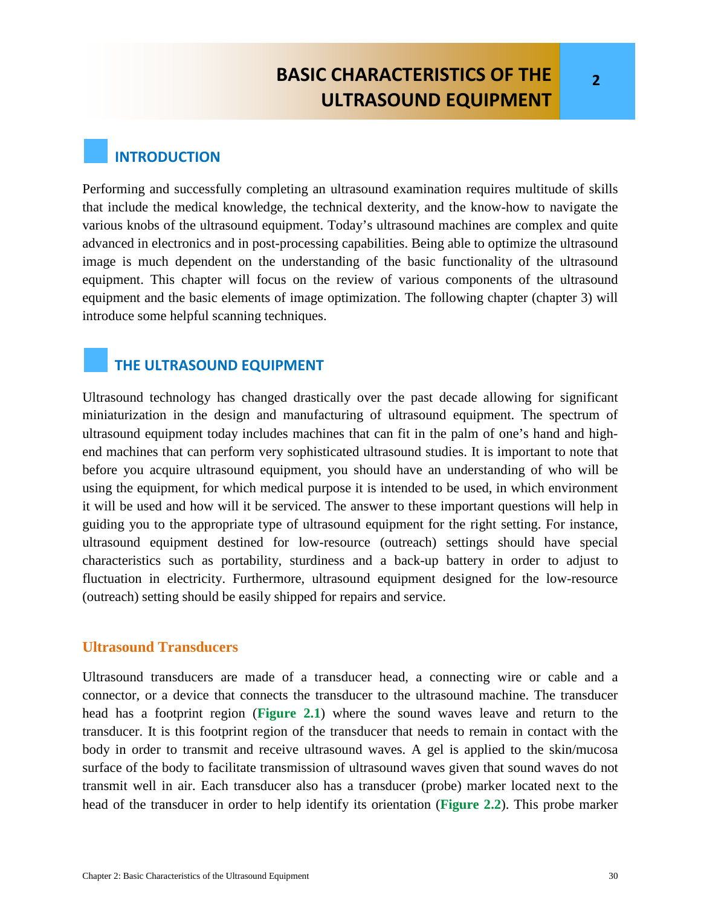# **BASIC CHARACTERISTICS OF THE ULTRASOUND EQUIPMENT**

## **INTRODUCTION**

Performing and successfully completing an ultrasound examination requires multitude of skills that include the medical knowledge, the technical dexterity, and the know-how to navigate the various knobs of the ultrasound equipment. Today's ultrasound machines are complex and quite advanced in electronics and in post-processing capabilities. Being able to optimize the ultrasound image is much dependent on the understanding of the basic functionality of the ultrasound equipment. This chapter will focus on the review of various components of the ultrasound equipment and the basic elements of image optimization. The following chapter (chapter 3) will introduce some helpful scanning techniques.

### **THE ULTRASOUND EQUIPMENT**

Ultrasound technology has changed drastically over the past decade allowing for significant miniaturization in the design and manufacturing of ultrasound equipment. The spectrum of ultrasound equipment today includes machines that can fit in the palm of one's hand and highend machines that can perform very sophisticated ultrasound studies. It is important to note that before you acquire ultrasound equipment, you should have an understanding of who will be using the equipment, for which medical purpose it is intended to be used, in which environment it will be used and how will it be serviced. The answer to these important questions will help in guiding you to the appropriate type of ultrasound equipment for the right setting. For instance, ultrasound equipment destined for low-resource (outreach) settings should have special characteristics such as portability, sturdiness and a back-up battery in order to adjust to fluctuation in electricity. Furthermore, ultrasound equipment designed for the low-resource (outreach) setting should be easily shipped for repairs and service.

#### **Ultrasound Transducers**

Ultrasound transducers are made of a transducer head, a connecting wire or cable and a connector, or a device that connects the transducer to the ultrasound machine. The transducer head has a footprint region (**Figure 2.1**) where the sound waves leave and return to the transducer. It is this footprint region of the transducer that needs to remain in contact with the body in order to transmit and receive ultrasound waves. A gel is applied to the skin/mucosa surface of the body to facilitate transmission of ultrasound waves given that sound waves do not transmit well in air. Each transducer also has a transducer (probe) marker located next to the head of the transducer in order to help identify its orientation (**Figure 2.2**). This probe marker

**2**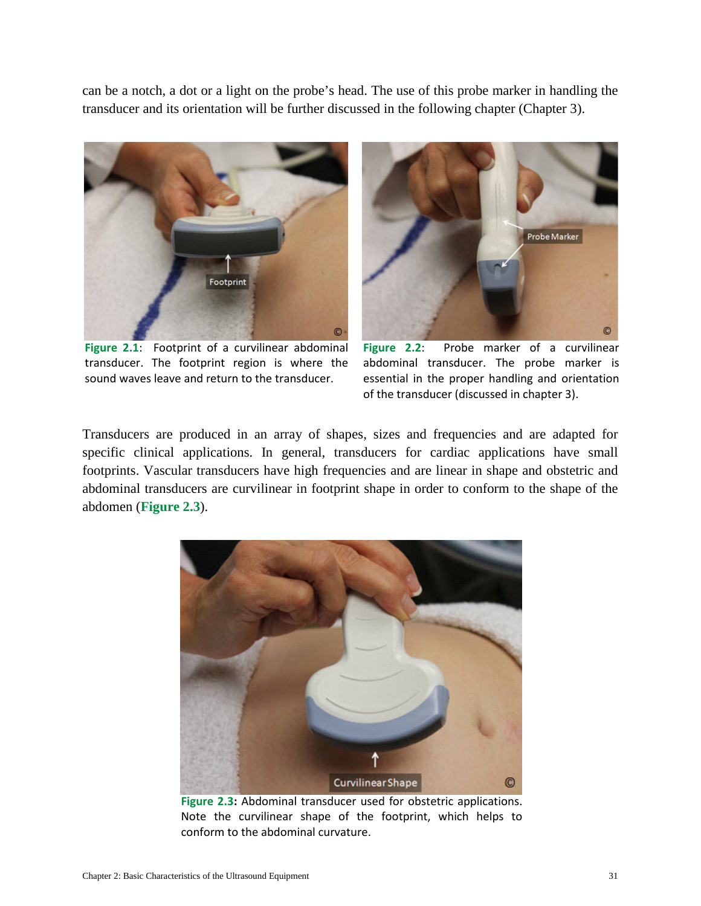can be a notch, a dot or a light on the probe's head. The use of this probe marker in handling the transducer and its orientation will be further discussed in the following chapter (Chapter 3).



**Figure 2.1**: Footprint of a curvilinear abdominal transducer. The footprint region is where the sound waves leave and return to the transducer.



**Figure 2.2**: Probe marker of a curvilinear abdominal transducer. The probe marker is essential in the proper handling and orientation of the transducer (discussed in chapter 3).

Transducers are produced in an array of shapes, sizes and frequencies and are adapted for specific clinical applications. In general, transducers for cardiac applications have small footprints. Vascular transducers have high frequencies and are linear in shape and obstetric and abdominal transducers are curvilinear in footprint shape in order to conform to the shape of the abdomen (**Figure 2.3**).



**Figure 2.3:** Abdominal transducer used for obstetric applications. Note the curvilinear shape of the footprint, which helps to conform to the abdominal curvature.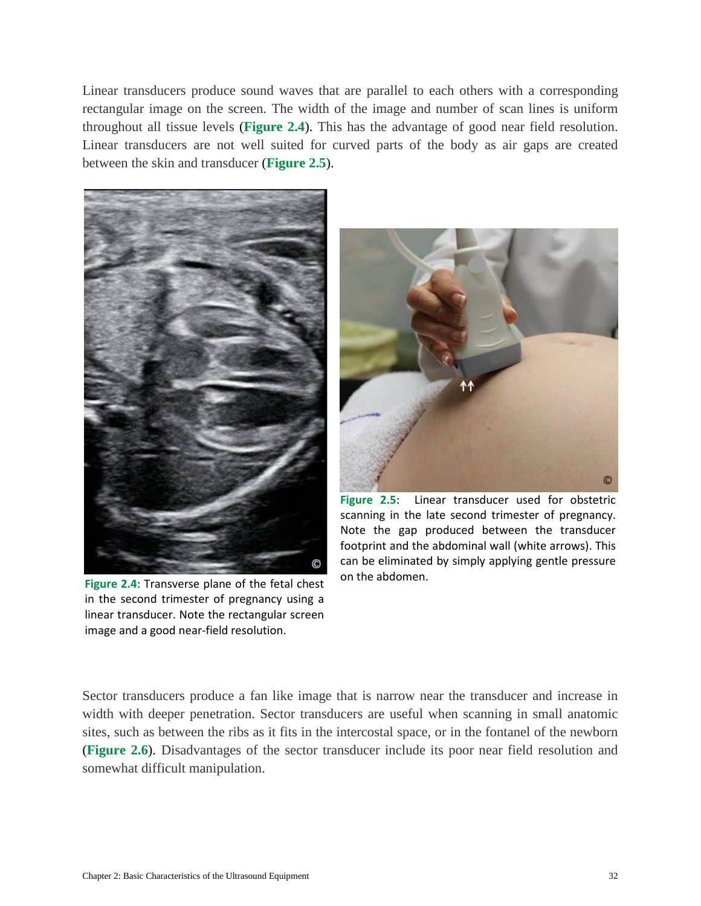Linear transducers produce sound waves that are parallel to each others with a corresponding rectangular image on the screen. The width of the image and number of scan lines is uniform throughout all tissue levels (**Figure 2.4**). This has the advantage of good near field resolution. Linear transducers are not well suited for curved parts of the body as air gaps are created between the skin and transducer (**Figure 2.5**).



**Figure 2.4**: Transverse plane of the fetal chest in the second trimester of pregnancy using a linear transducer. Note the rectangular screen image and a good near-field resolution.



**Figure 2.5**: Linear transducer used for obstetric scanning in the late second trimester of pregnancy. Note the gap produced between the transducer footprint and the abdominal wall (white arrows). This can be eliminated by simply applying gentle pressure on the abdomen.

Sector transducers produce a fan like image that is narrow near the transducer and increase in width with deeper penetration. Sector transducers are useful when scanning in small anatomic sites, such as between the ribs as it fits in the intercostal space, or in the fontanel of the newborn (**Figure 2.6**). Disadvantages of the sector transducer include its poor near field resolution and somewhat difficult manipulation.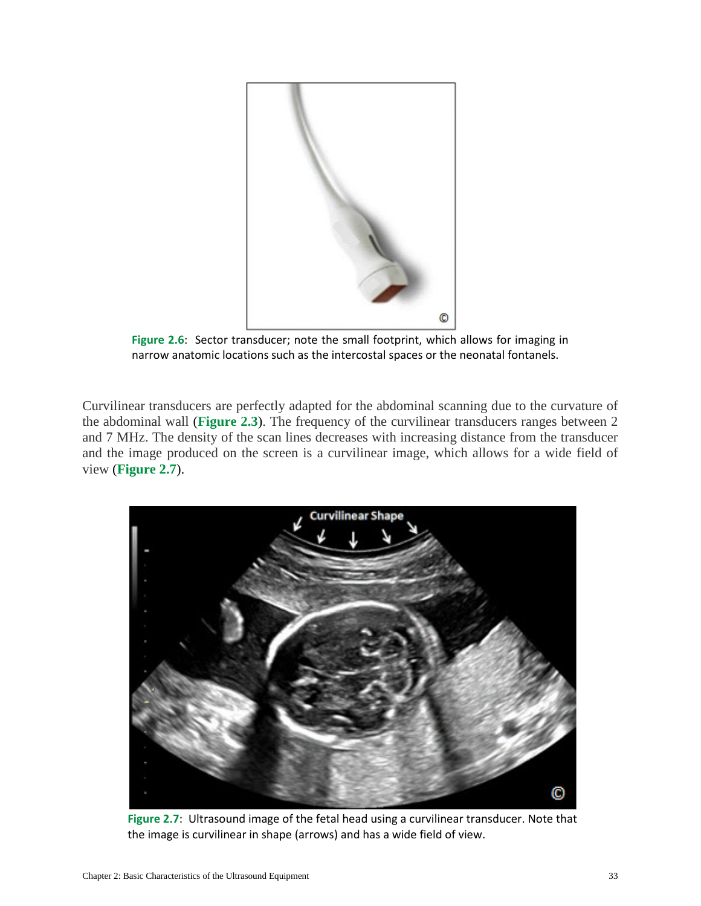

**Figure 2.6**: Sector transducer; note the small footprint, which allows for imaging in narrow anatomic locations such as the intercostal spaces or the neonatal fontanels.

Curvilinear transducers are perfectly adapted for the abdominal scanning due to the curvature of the abdominal wall (**Figure 2.3**). The frequency of the curvilinear transducers ranges between 2 and 7 MHz. The density of the scan lines decreases with increasing distance from the transducer and the image produced on the screen is a curvilinear image, which allows for a wide field of view (**Figure 2.7**).



**Figure 2.7**: Ultrasound image of the fetal head using a curvilinear transducer. Note that the image is curvilinear in shape (arrows) and has a wide field of view.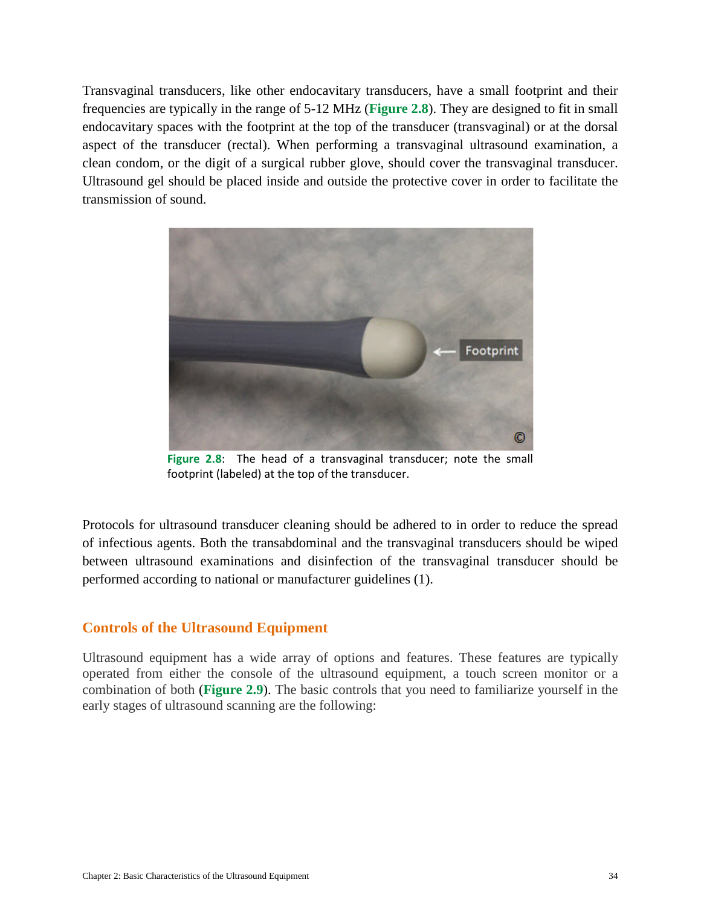Transvaginal transducers, like other endocavitary transducers, have a small footprint and their frequencies are typically in the range of 5-12 MHz (**Figure 2.8**). They are designed to fit in small endocavitary spaces with the footprint at the top of the transducer (transvaginal) or at the dorsal aspect of the transducer (rectal). When performing a transvaginal ultrasound examination, a clean condom, or the digit of a surgical rubber glove, should cover the transvaginal transducer. Ultrasound gel should be placed inside and outside the protective cover in order to facilitate the transmission of sound.



**Figure 2.8**: The head of a transvaginal transducer; note the small footprint (labeled) at the top of the transducer.

Protocols for ultrasound transducer cleaning should be adhered to in order to reduce the spread of infectious agents. Both the transabdominal and the transvaginal transducers should be wiped between ultrasound examinations and disinfection of the transvaginal transducer should be performed according to national or manufacturer guidelines (1).

#### **Controls of the Ultrasound Equipment**

Ultrasound equipment has a wide array of options and features. These features are typically operated from either the console of the ultrasound equipment, a touch screen monitor or a combination of both (**Figure 2.9**). The basic controls that you need to familiarize yourself in the early stages of ultrasound scanning are the following: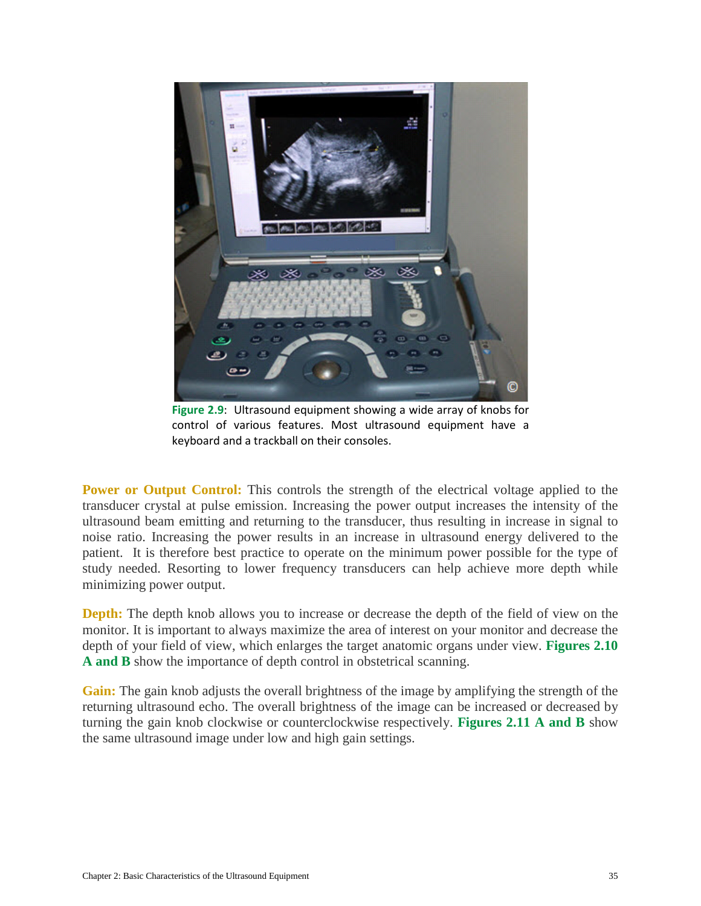

**Figure 2.9**: Ultrasound equipment showing a wide array of knobs for control of various features. Most ultrasound equipment have a keyboard and a trackball on their consoles.

**Power or Output Control:** This controls the strength of the electrical voltage applied to the transducer crystal at pulse emission. Increasing the power output increases the intensity of the ultrasound beam emitting and returning to the transducer, thus resulting in increase in signal to noise ratio. Increasing the power results in an increase in ultrasound energy delivered to the patient. It is therefore best practice to operate on the minimum power possible for the type of study needed. Resorting to lower frequency transducers can help achieve more depth while minimizing power output.

**Depth:** The depth knob allows you to increase or decrease the depth of the field of view on the monitor. It is important to always maximize the area of interest on your monitor and decrease the depth of your field of view, which enlarges the target anatomic organs under view. **Figures 2.10 A and B** show the importance of depth control in obstetrical scanning.

**Gain:** The gain knob adjusts the overall brightness of the image by amplifying the strength of the returning ultrasound echo. The overall brightness of the image can be increased or decreased by turning the gain knob clockwise or counterclockwise respectively. **Figures 2.11 A and B** show the same ultrasound image under low and high gain settings.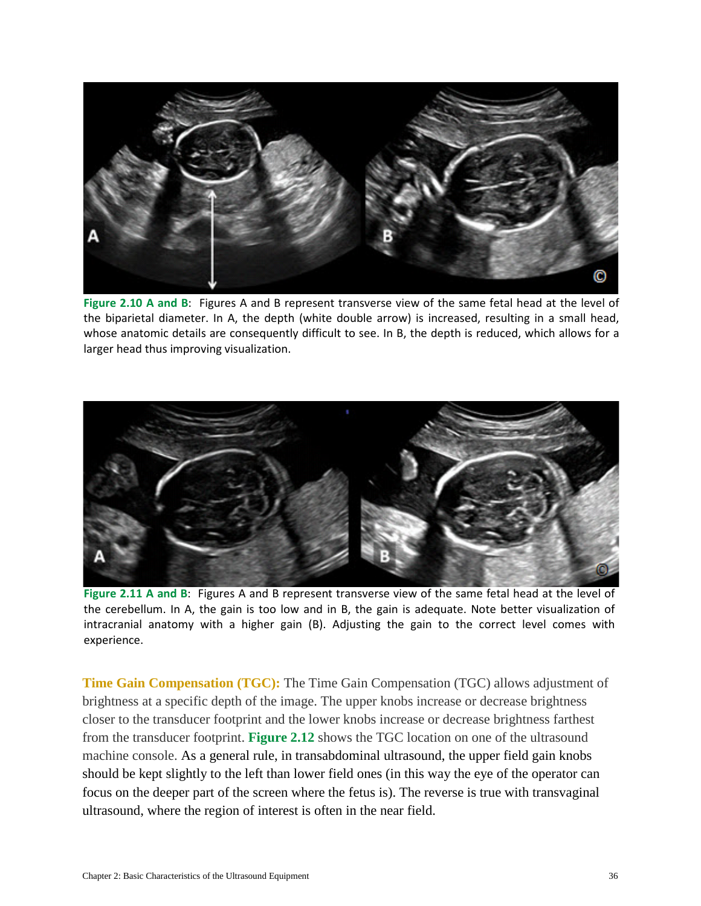

**Figure 2.10 A and B**: Figures A and B represent transverse view of the same fetal head at the level of the biparietal diameter. In A, the depth (white double arrow) is increased, resulting in a small head, whose anatomic details are consequently difficult to see. In B, the depth is reduced, which allows for a larger head thus improving visualization.



**Figure 2.11 A and B**: Figures A and B represent transverse view of the same fetal head at the level of the cerebellum. In A, the gain is too low and in B, the gain is adequate. Note better visualization of intracranial anatomy with a higher gain (B). Adjusting the gain to the correct level comes with experience.

**Time Gain Compensation (TGC):** The Time Gain Compensation (TGC) allows adjustment of brightness at a specific depth of the image. The upper knobs increase or decrease brightness closer to the transducer footprint and the lower knobs increase or decrease brightness farthest from the transducer footprint. **Figure 2.12** shows the TGC location on one of the ultrasound machine console. As a general rule, in transabdominal ultrasound, the upper field gain knobs should be kept slightly to the left than lower field ones (in this way the eye of the operator can focus on the deeper part of the screen where the fetus is). The reverse is true with transvaginal ultrasound, where the region of interest is often in the near field.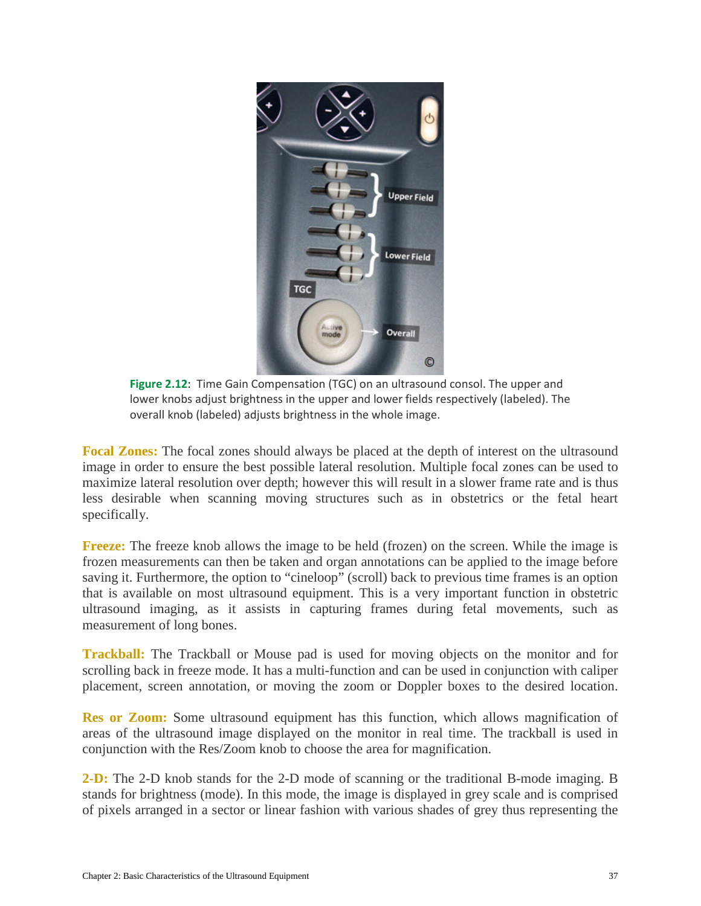

**Figure 2.12**: Time Gain Compensation (TGC) on an ultrasound consol. The upper and lower knobs adjust brightness in the upper and lower fields respectively (labeled). The overall knob (labeled) adjusts brightness in the whole image.

**Focal Zones:** The focal zones should always be placed at the depth of interest on the ultrasound image in order to ensure the best possible lateral resolution. Multiple focal zones can be used to maximize lateral resolution over depth; however this will result in a slower frame rate and is thus less desirable when scanning moving structures such as in obstetrics or the fetal heart specifically.

**Freeze:** The freeze knob allows the image to be held (frozen) on the screen. While the image is frozen measurements can then be taken and organ annotations can be applied to the image before saving it. Furthermore, the option to "cineloop" (scroll) back to previous time frames is an option that is available on most ultrasound equipment. This is a very important function in obstetric ultrasound imaging, as it assists in capturing frames during fetal movements, such as measurement of long bones.

**Trackball:** The Trackball or Mouse pad is used for moving objects on the monitor and for scrolling back in freeze mode. It has a multi-function and can be used in conjunction with caliper placement, screen annotation, or moving the zoom or Doppler boxes to the desired location.

**Res or Zoom:** Some ultrasound equipment has this function, which allows magnification of areas of the ultrasound image displayed on the monitor in real time. The trackball is used in conjunction with the Res/Zoom knob to choose the area for magnification.

**2-D:** The 2-D knob stands for the 2-D mode of scanning or the traditional B-mode imaging. B stands for brightness (mode). In this mode, the image is displayed in grey scale and is comprised of pixels arranged in a sector or linear fashion with various shades of grey thus representing the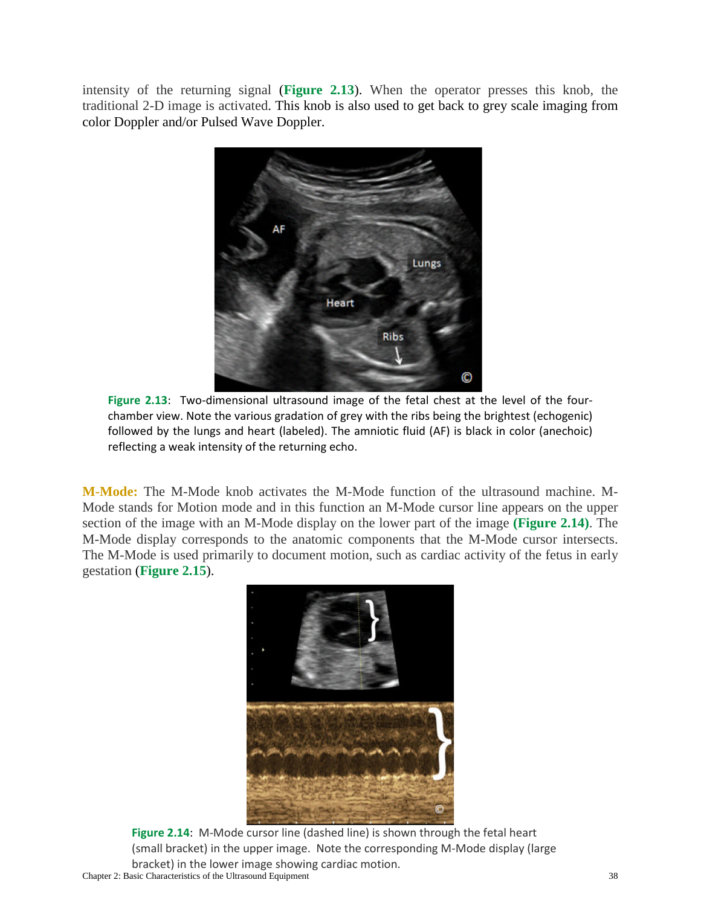intensity of the returning signal (**Figure 2.13**). When the operator presses this knob, the traditional 2-D image is activated. This knob is also used to get back to grey scale imaging from color Doppler and/or Pulsed Wave Doppler.



**Figure 2.13**: Two-dimensional ultrasound image of the fetal chest at the level of the fourchamber view. Note the various gradation of grey with the ribs being the brightest (echogenic) followed by the lungs and heart (labeled). The amniotic fluid (AF) is black in color (anechoic) reflecting a weak intensity of the returning echo.

**M-Mode:** The M-Mode knob activates the M-Mode function of the ultrasound machine. M-Mode stands for Motion mode and in this function an M-Mode cursor line appears on the upper section of the image with an M-Mode display on the lower part of the image **(Figure 2.14)**. The M-Mode display corresponds to the anatomic components that the M-Mode cursor intersects. The M-Mode is used primarily to document motion, such as cardiac activity of the fetus in early gestation (**Figure 2.15**).



Chapter 2: Basic Characteristics of the Ultrasound Equipment 38 **Figure 2.14**:M-Mode cursor line (dashed line) is shown through the fetal heart (small bracket) in the upper image. Note the corresponding M-Mode display (large bracket) in the lower image showing cardiac motion.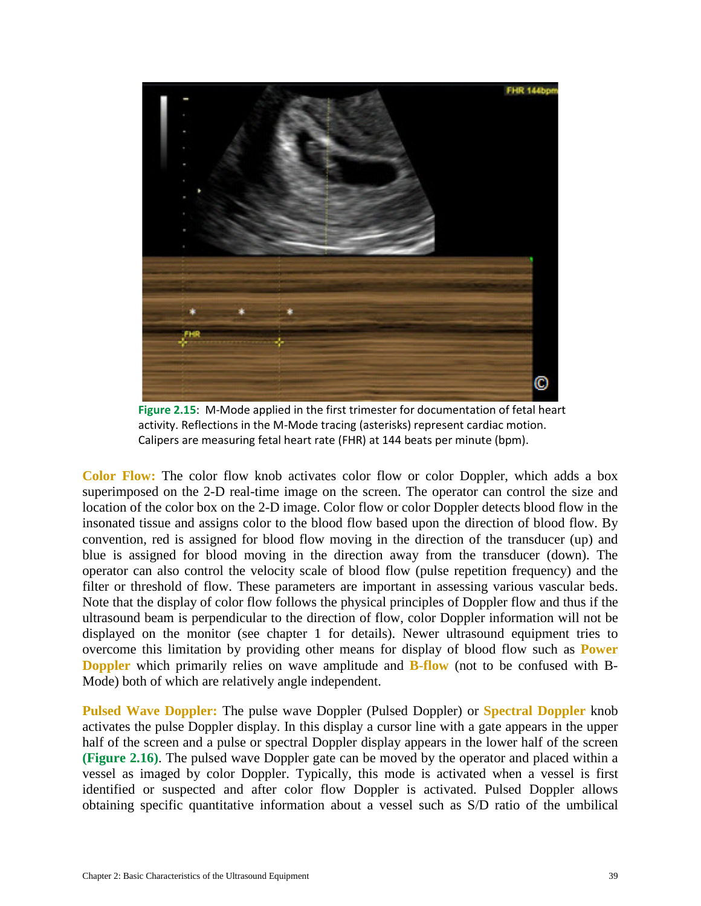

**Figure 2.15**: M-Mode applied in the first trimester for documentation of fetal heart activity. Reflections in the M-Mode tracing (asterisks) represent cardiac motion. Calipers are measuring fetal heart rate (FHR) at 144 beats per minute (bpm).

**Color Flow:** The color flow knob activates color flow or color Doppler, which adds a box superimposed on the 2-D real-time image on the screen. The operator can control the size and location of the color box on the 2-D image. Color flow or color Doppler detects blood flow in the insonated tissue and assigns color to the blood flow based upon the direction of blood flow. By convention, red is assigned for blood flow moving in the direction of the transducer (up) and blue is assigned for blood moving in the direction away from the transducer (down). The operator can also control the velocity scale of blood flow (pulse repetition frequency) and the filter or threshold of flow. These parameters are important in assessing various vascular beds. Note that the display of color flow follows the physical principles of Doppler flow and thus if the ultrasound beam is perpendicular to the direction of flow, color Doppler information will not be displayed on the monitor (see chapter 1 for details). Newer ultrasound equipment tries to overcome this limitation by providing other means for display of blood flow such as **Power Doppler** which primarily relies on wave amplitude and **B-flow** (not to be confused with B-Mode) both of which are relatively angle independent.

**Pulsed Wave Doppler:** The pulse wave Doppler (Pulsed Doppler) or **Spectral Doppler** knob activates the pulse Doppler display. In this display a cursor line with a gate appears in the upper half of the screen and a pulse or spectral Doppler display appears in the lower half of the screen **(Figure 2.16)**. The pulsed wave Doppler gate can be moved by the operator and placed within a vessel as imaged by color Doppler. Typically, this mode is activated when a vessel is first identified or suspected and after color flow Doppler is activated. Pulsed Doppler allows obtaining specific quantitative information about a vessel such as S/D ratio of the umbilical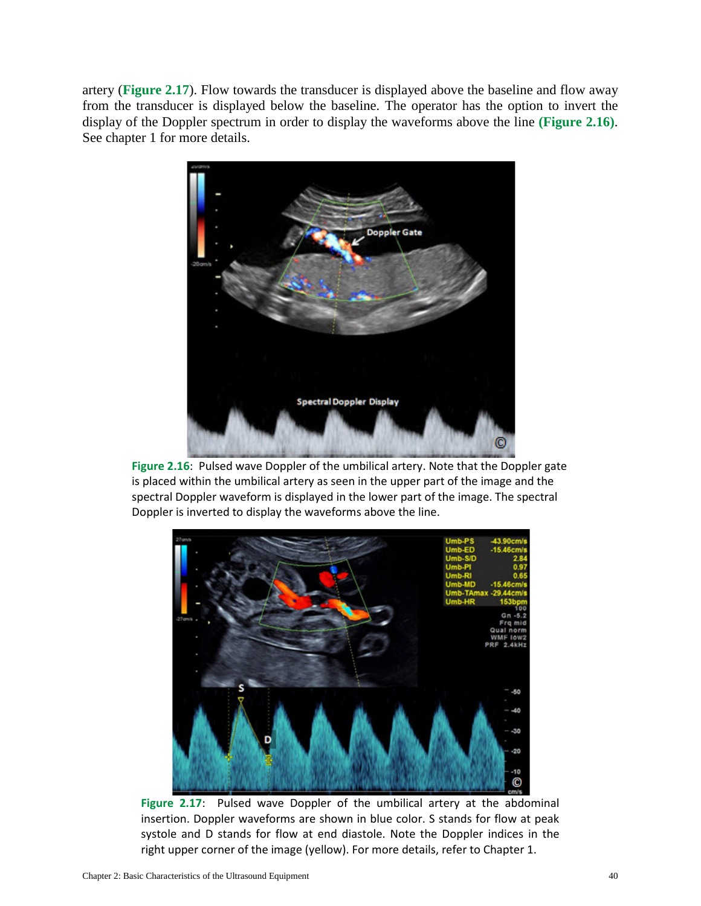artery (**Figure 2.17**). Flow towards the transducer is displayed above the baseline and flow away from the transducer is displayed below the baseline. The operator has the option to invert the display of the Doppler spectrum in order to display the waveforms above the line **(Figure 2.16)**. See chapter 1 for more details.



**Figure 2.16**: Pulsed wave Doppler of the umbilical artery. Note that the Doppler gate is placed within the umbilical artery as seen in the upper part of the image and the spectral Doppler waveform is displayed in the lower part of the image. The spectral Doppler is inverted to display the waveforms above the line.



**Figure 2.17**: Pulsed wave Doppler of the umbilical artery at the abdominal insertion. Doppler waveforms are shown in blue color. S stands for flow at peak systole and D stands for flow at end diastole. Note the Doppler indices in the right upper corner of the image (yellow). For more details, refer to Chapter 1.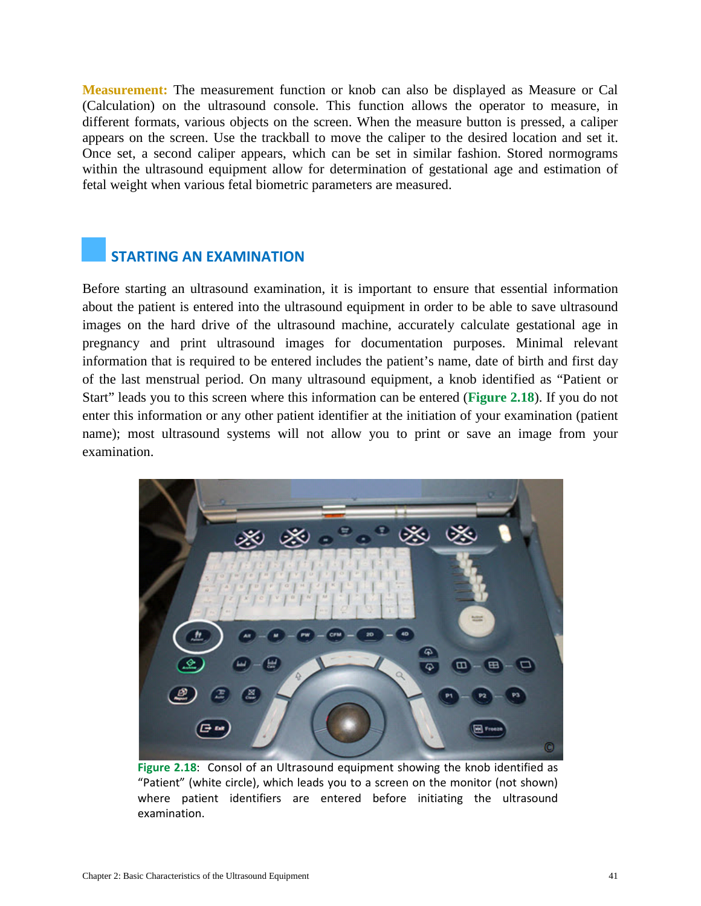**Measurement:** The measurement function or knob can also be displayed as Measure or Cal (Calculation) on the ultrasound console. This function allows the operator to measure, in different formats, various objects on the screen. When the measure button is pressed, a caliper appears on the screen. Use the trackball to move the caliper to the desired location and set it. Once set, a second caliper appears, which can be set in similar fashion. Stored normograms within the ultrasound equipment allow for determination of gestational age and estimation of fetal weight when various fetal biometric parameters are measured.

# **STARTING AN EXAMINATION**

Before starting an ultrasound examination, it is important to ensure that essential information about the patient is entered into the ultrasound equipment in order to be able to save ultrasound images on the hard drive of the ultrasound machine, accurately calculate gestational age in pregnancy and print ultrasound images for documentation purposes. Minimal relevant information that is required to be entered includes the patient's name, date of birth and first day of the last menstrual period. On many ultrasound equipment, a knob identified as "Patient or Start" leads you to this screen where this information can be entered (**Figure 2.18**). If you do not enter this information or any other patient identifier at the initiation of your examination (patient name); most ultrasound systems will not allow you to print or save an image from your examination.



**Figure 2.18**: Consol of an Ultrasound equipment showing the knob identified as "Patient" (white circle), which leads you to a screen on the monitor (not shown) where patient identifiers are entered before initiating the ultrasound examination.